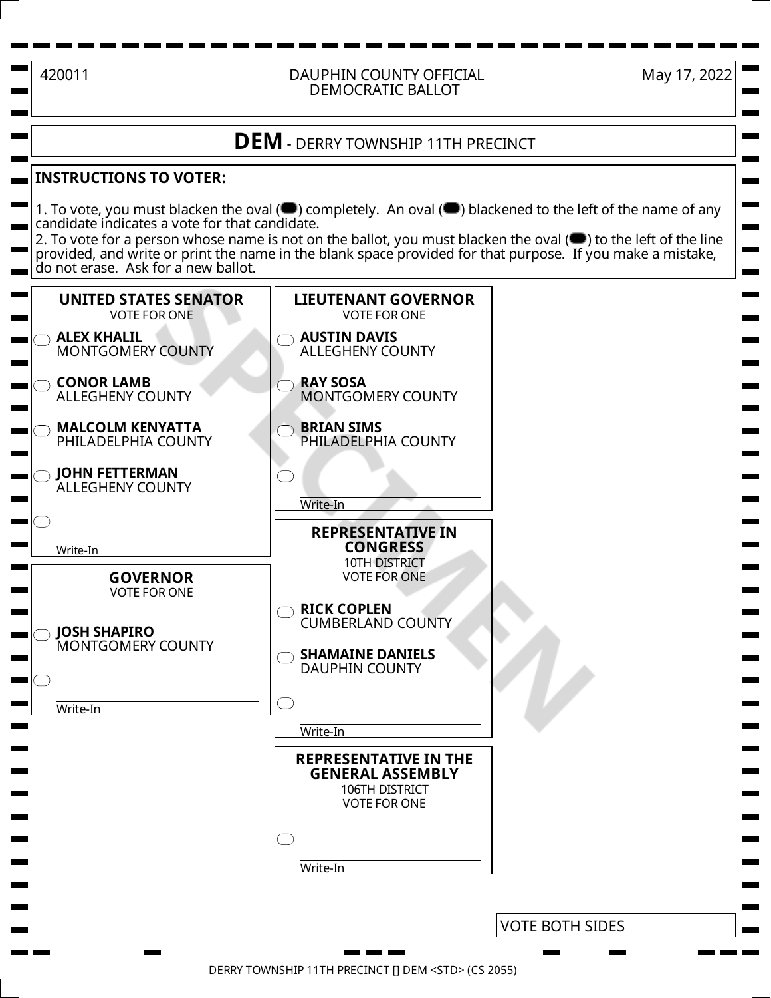## 420011 DAUPHIN COUNTY OFFICIAL DEMOCRATIC BALLOT

May 17, 2022

## **DEM** - DERRY TOWNSHIP 11TH PRECINCT

## **INSTRUCTIONS TO VOTER:**

1. To vote, you must blacken the oval (●) completely. An oval (●) blackened to the left of the name of any candidate indicates a vote for that candidate.

2. To vote for a person whose name is not on the ballot, you must blacken the oval ( $\blacksquare$ ) to the left of the line provided, and write or print the name in the blank space provided for that purpose. If you make a mistake, do not erase. Ask for a new ballot.



VOTE BOTH SIDES